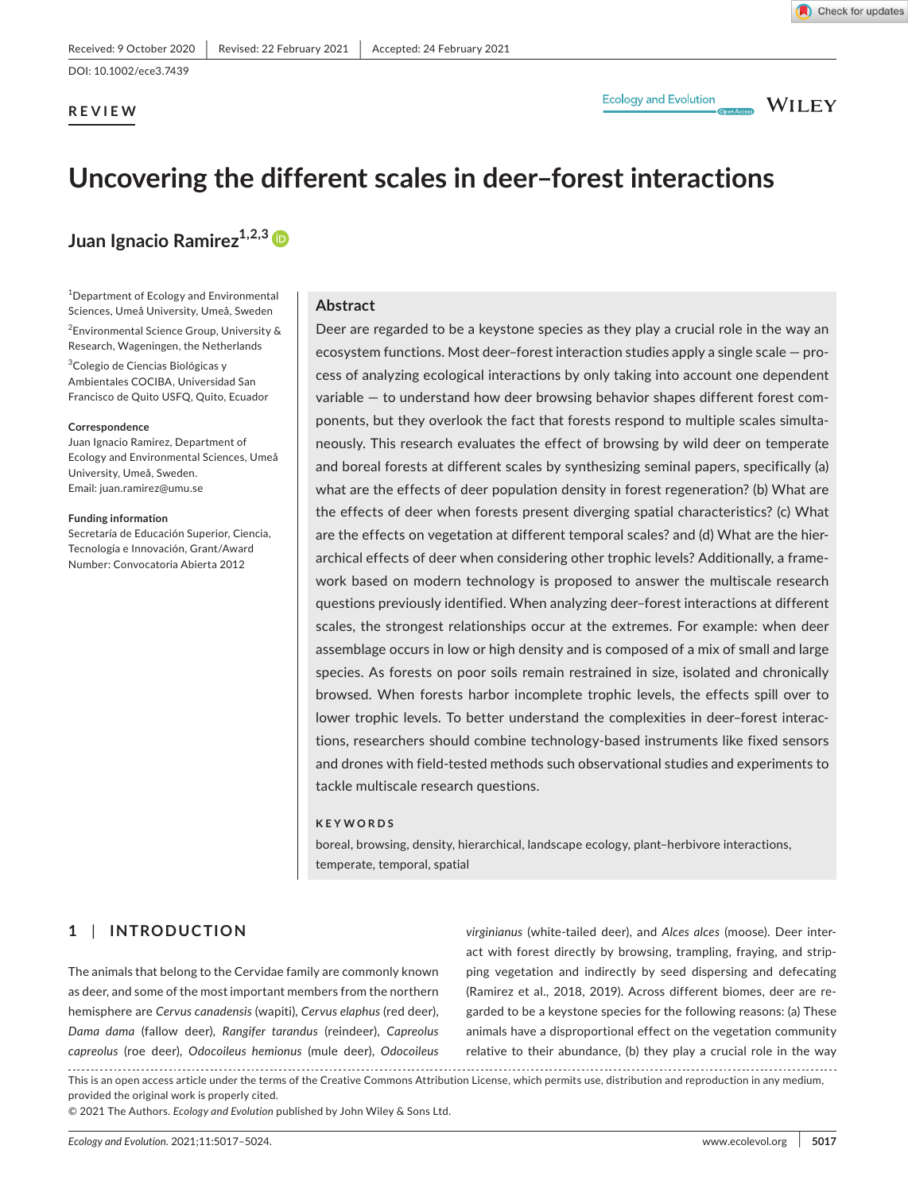**REVIEW**

**Ecology and Evolution** 

**WILEY** 

# **Uncovering the different scales in deer–forest interactions**

**Juan Ignacio Ramirez1,2,[3](https://orcid.org/0000-0003-1836-8105)**

1 Department of Ecology and Environmental Sciences, Umeå University, Umeå, Sweden

2 Environmental Science Group, University & Research, Wageningen, the Netherlands

<sup>3</sup>Colegio de Ciencias Biológicas y Ambientales COCIBA, Universidad San Francisco de Quito USFQ, Quito, Ecuador

#### **Correspondence**

Juan Ignacio Ramirez, Department of Ecology and Environmental Sciences, Umeå University, Umeå, Sweden. Email: [juan.ramirez@umu.se](mailto:juan.ramirez@umu.se)

#### **Funding information**

Secretaría de Educación Superior, Ciencia, Tecnología e Innovación, Grant/Award Number: Convocatoria Abierta 2012

## **Abstract**

Deer are regarded to be a keystone species as they play a crucial role in the way an ecosystem functions. Most deer–forest interaction studies apply a single scale — process of analyzing ecological interactions by only taking into account one dependent variable — to understand how deer browsing behavior shapes different forest components, but they overlook the fact that forests respond to multiple scales simultaneously. This research evaluates the effect of browsing by wild deer on temperate and boreal forests at different scales by synthesizing seminal papers, specifically (a) what are the effects of deer population density in forest regeneration? (b) What are the effects of deer when forests present diverging spatial characteristics? (c) What are the effects on vegetation at different temporal scales? and (d) What are the hierarchical effects of deer when considering other trophic levels? Additionally, a framework based on modern technology is proposed to answer the multiscale research questions previously identified. When analyzing deer–forest interactions at different scales, the strongest relationships occur at the extremes. For example: when deer assemblage occurs in low or high density and is composed of a mix of small and large species. As forests on poor soils remain restrained in size, isolated and chronically browsed. When forests harbor incomplete trophic levels, the effects spill over to lower trophic levels. To better understand the complexities in deer–forest interactions, researchers should combine technology-based instruments like fixed sensors and drones with field-tested methods such observational studies and experiments to tackle multiscale research questions.

## **KEYWORDS**

boreal, browsing, density, hierarchical, landscape ecology, plant–herbivore interactions, temperate, temporal, spatial

# **1** | **INTRODUCTION**

The animals that belong to the Cervidae family are commonly known as deer, and some of the most important members from the northern hemisphere are *Cervus canadensis* (wapiti), *Cervus elaphus* (red deer), *Dama dama* (fallow deer), *Rangifer tarandus* (reindeer), *Capreolus capreolus* (roe deer), *Odocoileus hemionus* (mule deer), *Odocoileus*  *virginianus* (white-tailed deer), and *Alces alces* (moose). Deer interact with forest directly by browsing, trampling, fraying, and stripping vegetation and indirectly by seed dispersing and defecating (Ramirez et al., 2018, 2019). Across different biomes, deer are regarded to be a keystone species for the following reasons: (a) These animals have a disproportional effect on the vegetation community relative to their abundance, (b) they play a crucial role in the way

This is an open access article under the terms of the [Creative Commons Attribution](http://creativecommons.org/licenses/by/4.0/) License, which permits use, distribution and reproduction in any medium, provided the original work is properly cited.

© 2021 The Authors. *Ecology and Evolution* published by John Wiley & Sons Ltd.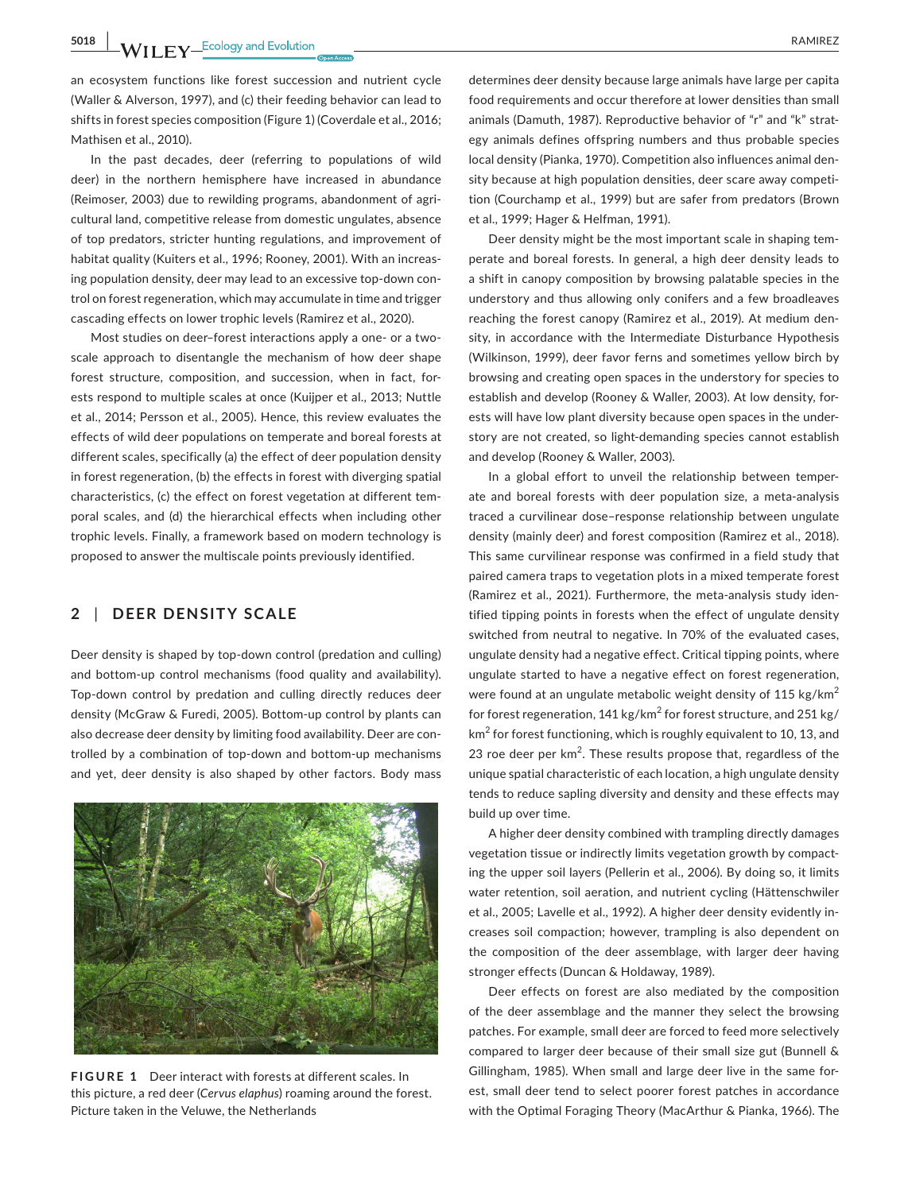**5018** WILEY<sup>\_Ecology and Evolution **because the contract of the CO** RAMIREZ</sup>

an ecosystem functions like forest succession and nutrient cycle (Waller & Alverson, 1997), and (c) their feeding behavior can lead to shifts in forest species composition (Figure 1) (Coverdale et al., 2016; Mathisen et al., 2010).

In the past decades, deer (referring to populations of wild deer) in the northern hemisphere have increased in abundance (Reimoser, 2003) due to rewilding programs, abandonment of agricultural land, competitive release from domestic ungulates, absence of top predators, stricter hunting regulations, and improvement of habitat quality (Kuiters et al., 1996; Rooney, 2001). With an increasing population density, deer may lead to an excessive top-down control on forest regeneration, which may accumulate in time and trigger cascading effects on lower trophic levels (Ramirez et al., 2020).

Most studies on deer–forest interactions apply a one- or a twoscale approach to disentangle the mechanism of how deer shape forest structure, composition, and succession, when in fact, forests respond to multiple scales at once (Kuijper et al., 2013; Nuttle et al., 2014; Persson et al., 2005). Hence, this review evaluates the effects of wild deer populations on temperate and boreal forests at different scales, specifically (a) the effect of deer population density in forest regeneration, (b) the effects in forest with diverging spatial characteristics, (c) the effect on forest vegetation at different temporal scales, and (d) the hierarchical effects when including other trophic levels. Finally, a framework based on modern technology is proposed to answer the multiscale points previously identified.

## **2** | **DEER DENSITY SCALE**

Deer density is shaped by top-down control (predation and culling) and bottom-up control mechanisms (food quality and availability). Top-down control by predation and culling directly reduces deer density (McGraw & Furedi, 2005). Bottom-up control by plants can also decrease deer density by limiting food availability. Deer are controlled by a combination of top-down and bottom-up mechanisms and yet, deer density is also shaped by other factors. Body mass



**FIGURE 1** Deer interact with forests at different scales. In this picture, a red deer (*Cervus elaphus*) roaming around the forest. Picture taken in the Veluwe, the Netherlands

determines deer density because large animals have large per capita food requirements and occur therefore at lower densities than small animals (Damuth, 1987). Reproductive behavior of "r" and "k" strategy animals defines offspring numbers and thus probable species local density (Pianka, 1970). Competition also influences animal density because at high population densities, deer scare away competition (Courchamp et al., 1999) but are safer from predators (Brown et al., 1999; Hager & Helfman, 1991).

Deer density might be the most important scale in shaping temperate and boreal forests. In general, a high deer density leads to a shift in canopy composition by browsing palatable species in the understory and thus allowing only conifers and a few broadleaves reaching the forest canopy (Ramirez et al., 2019). At medium density, in accordance with the Intermediate Disturbance Hypothesis (Wilkinson, 1999), deer favor ferns and sometimes yellow birch by browsing and creating open spaces in the understory for species to establish and develop (Rooney & Waller, 2003). At low density, forests will have low plant diversity because open spaces in the understory are not created, so light-demanding species cannot establish and develop (Rooney & Waller, 2003).

In a global effort to unveil the relationship between temperate and boreal forests with deer population size, a meta-analysis traced a curvilinear dose–response relationship between ungulate density (mainly deer) and forest composition (Ramirez et al., 2018). This same curvilinear response was confirmed in a field study that paired camera traps to vegetation plots in a mixed temperate forest (Ramirez et al., 2021). Furthermore, the meta-analysis study identified tipping points in forests when the effect of ungulate density switched from neutral to negative. In 70% of the evaluated cases, ungulate density had a negative effect. Critical tipping points, where ungulate started to have a negative effect on forest regeneration, were found at an ungulate metabolic weight density of 115 kg/km<sup>2</sup> for forest regeneration, 141 kg/km $^2$  for forest structure, and 251 kg/  $\textsf{km}^2$  for forest functioning, which is roughly equivalent to 10, 13, and 23 roe deer per  $km^2$ . These results propose that, regardless of the unique spatial characteristic of each location, a high ungulate density tends to reduce sapling diversity and density and these effects may build up over time.

A higher deer density combined with trampling directly damages vegetation tissue or indirectly limits vegetation growth by compacting the upper soil layers (Pellerin et al., 2006). By doing so, it limits water retention, soil aeration, and nutrient cycling (Hättenschwiler et al., 2005; Lavelle et al., 1992). A higher deer density evidently increases soil compaction; however, trampling is also dependent on the composition of the deer assemblage, with larger deer having stronger effects (Duncan & Holdaway, 1989).

Deer effects on forest are also mediated by the composition of the deer assemblage and the manner they select the browsing patches. For example, small deer are forced to feed more selectively compared to larger deer because of their small size gut (Bunnell & Gillingham, 1985). When small and large deer live in the same forest, small deer tend to select poorer forest patches in accordance with the Optimal Foraging Theory (MacArthur & Pianka, 1966). The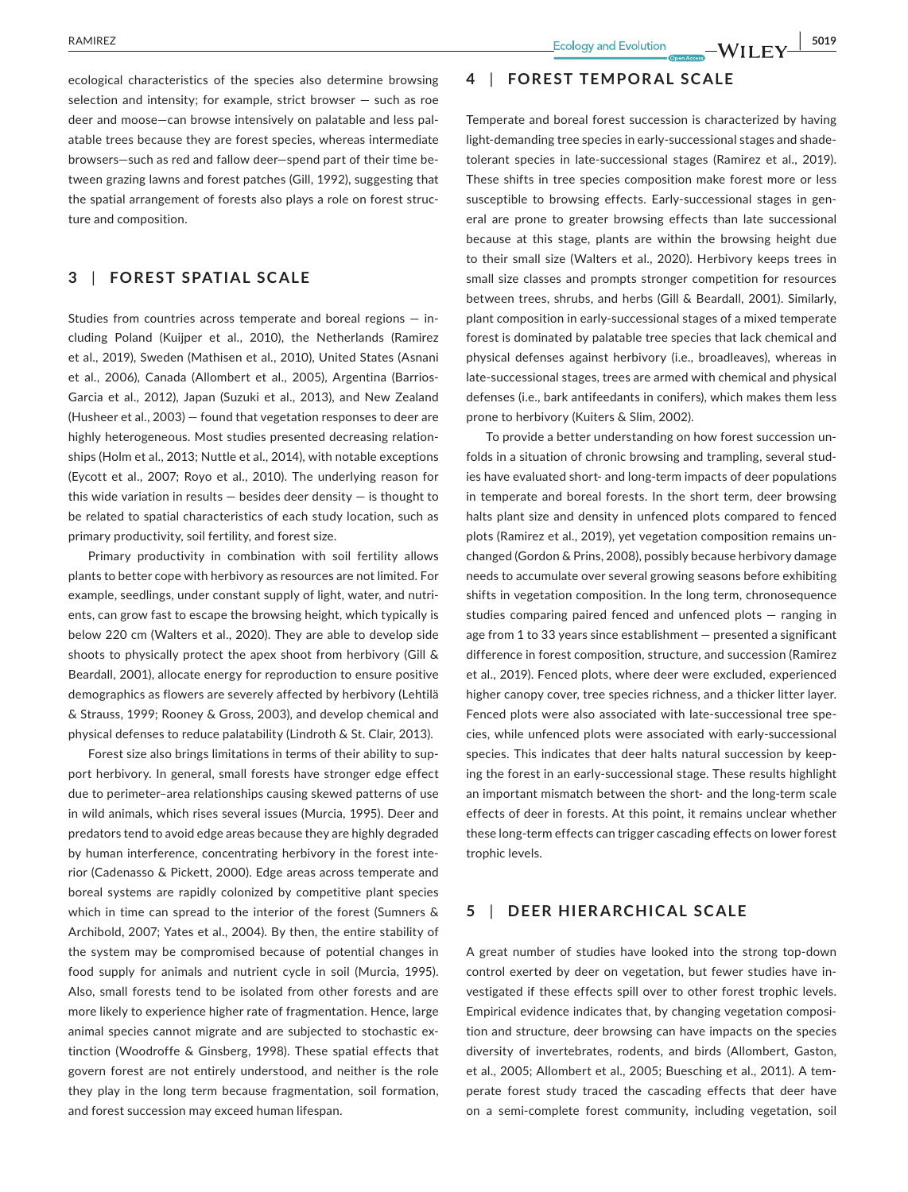ecological characteristics of the species also determine browsing selection and intensity; for example, strict browser — such as roe deer and moose—can browse intensively on palatable and less palatable trees because they are forest species, whereas intermediate browsers—such as red and fallow deer—spend part of their time between grazing lawns and forest patches (Gill, 1992), suggesting that the spatial arrangement of forests also plays a role on forest structure and composition.

## **3** | **FOREST SPATIAL SCALE**

Studies from countries across temperate and boreal regions — including Poland (Kuijper et al., 2010), the Netherlands (Ramirez et al., 2019), Sweden (Mathisen et al., 2010), United States (Asnani et al., 2006), Canada (Allombert et al., 2005), Argentina (Barrios-Garcia et al., 2012), Japan (Suzuki et al., 2013), and New Zealand (Husheer et al., 2003) — found that vegetation responses to deer are highly heterogeneous. Most studies presented decreasing relationships (Holm et al., 2013; Nuttle et al., 2014), with notable exceptions (Eycott et al., 2007; Royo et al., 2010). The underlying reason for this wide variation in results  $-$  besides deer density  $-$  is thought to be related to spatial characteristics of each study location, such as primary productivity, soil fertility, and forest size.

Primary productivity in combination with soil fertility allows plants to better cope with herbivory as resources are not limited. For example, seedlings, under constant supply of light, water, and nutrients, can grow fast to escape the browsing height, which typically is below 220 cm (Walters et al., 2020). They are able to develop side shoots to physically protect the apex shoot from herbivory (Gill & Beardall, 2001), allocate energy for reproduction to ensure positive demographics as flowers are severely affected by herbivory (Lehtilä & Strauss, 1999; Rooney & Gross, 2003), and develop chemical and physical defenses to reduce palatability (Lindroth & St. Clair, 2013).

Forest size also brings limitations in terms of their ability to support herbivory. In general, small forests have stronger edge effect due to perimeter–area relationships causing skewed patterns of use in wild animals, which rises several issues (Murcia, 1995). Deer and predators tend to avoid edge areas because they are highly degraded by human interference, concentrating herbivory in the forest interior (Cadenasso & Pickett, 2000). Edge areas across temperate and boreal systems are rapidly colonized by competitive plant species which in time can spread to the interior of the forest (Sumners & Archibold, 2007; Yates et al., 2004). By then, the entire stability of the system may be compromised because of potential changes in food supply for animals and nutrient cycle in soil (Murcia, 1995). Also, small forests tend to be isolated from other forests and are more likely to experience higher rate of fragmentation. Hence, large animal species cannot migrate and are subjected to stochastic extinction (Woodroffe & Ginsberg, 1998). These spatial effects that govern forest are not entirely understood, and neither is the role they play in the long term because fragmentation, soil formation, and forest succession may exceed human lifespan.

## **4** | **FOREST TEMPORAL SCALE**

Temperate and boreal forest succession is characterized by having light-demanding tree species in early-successional stages and shadetolerant species in late-successional stages (Ramirez et al., 2019). These shifts in tree species composition make forest more or less susceptible to browsing effects. Early-successional stages in general are prone to greater browsing effects than late successional because at this stage, plants are within the browsing height due to their small size (Walters et al., 2020). Herbivory keeps trees in small size classes and prompts stronger competition for resources between trees, shrubs, and herbs (Gill & Beardall, 2001). Similarly, plant composition in early-successional stages of a mixed temperate forest is dominated by palatable tree species that lack chemical and physical defenses against herbivory (i.e., broadleaves), whereas in late-successional stages, trees are armed with chemical and physical defenses (i.e., bark antifeedants in conifers), which makes them less prone to herbivory (Kuiters & Slim, 2002).

To provide a better understanding on how forest succession unfolds in a situation of chronic browsing and trampling, several studies have evaluated short- and long-term impacts of deer populations in temperate and boreal forests. In the short term, deer browsing halts plant size and density in unfenced plots compared to fenced plots (Ramirez et al., 2019), yet vegetation composition remains unchanged (Gordon & Prins, 2008), possibly because herbivory damage needs to accumulate over several growing seasons before exhibiting shifts in vegetation composition. In the long term, chronosequence studies comparing paired fenced and unfenced plots — ranging in age from 1 to 33 years since establishment — presented a significant difference in forest composition, structure, and succession (Ramirez et al., 2019). Fenced plots, where deer were excluded, experienced higher canopy cover, tree species richness, and a thicker litter layer. Fenced plots were also associated with late-successional tree species, while unfenced plots were associated with early-successional species. This indicates that deer halts natural succession by keeping the forest in an early-successional stage. These results highlight an important mismatch between the short- and the long-term scale effects of deer in forests. At this point, it remains unclear whether these long-term effects can trigger cascading effects on lower forest trophic levels.

# **5** | **DEER HIERARCHICAL SCALE**

A great number of studies have looked into the strong top-down control exerted by deer on vegetation, but fewer studies have investigated if these effects spill over to other forest trophic levels. Empirical evidence indicates that, by changing vegetation composition and structure, deer browsing can have impacts on the species diversity of invertebrates, rodents, and birds (Allombert, Gaston, et al., 2005; Allombert et al., 2005; Buesching et al., 2011). A temperate forest study traced the cascading effects that deer have on a semi-complete forest community, including vegetation, soil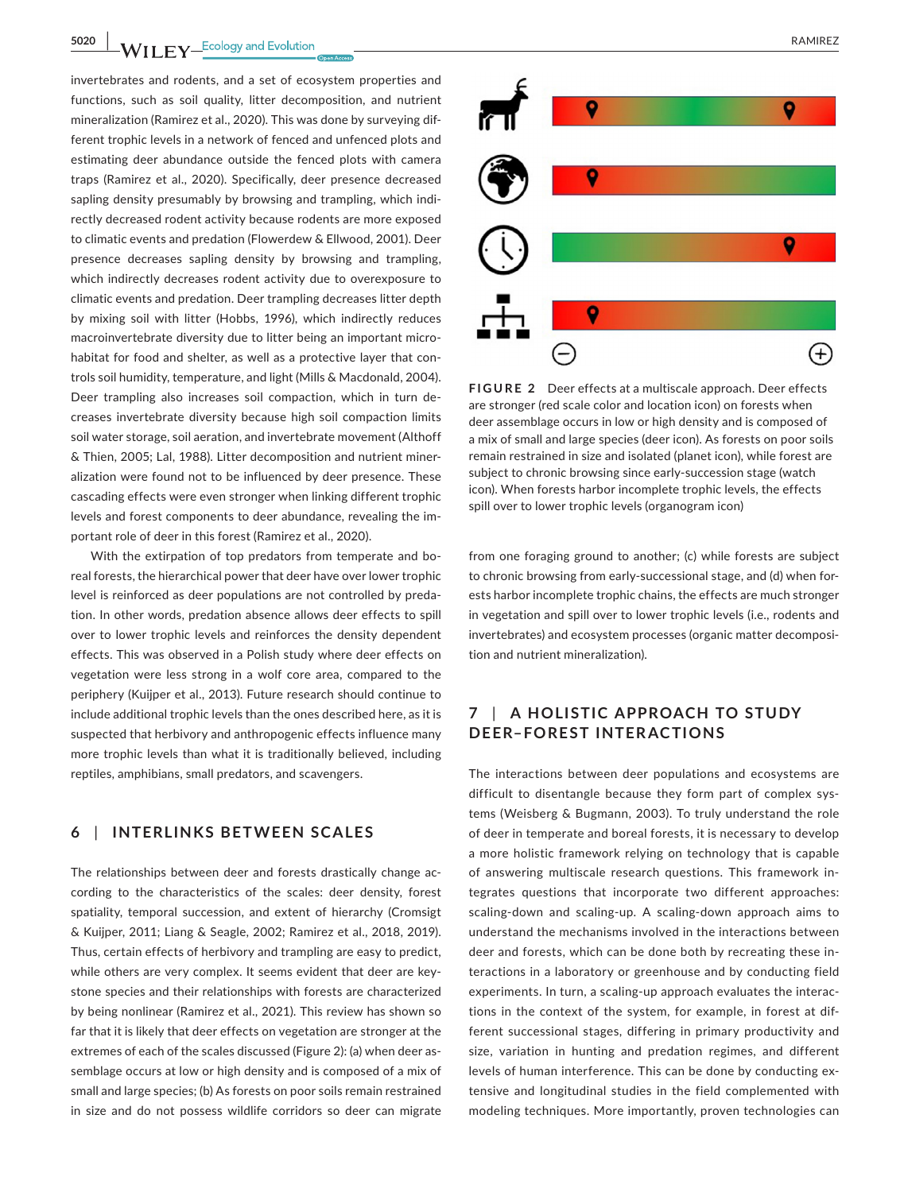**5020 WII FY** Ecology and Evolution **CONSUMER 2008 RAMIREZ** 

invertebrates and rodents, and a set of ecosystem properties and functions, such as soil quality, litter decomposition, and nutrient mineralization (Ramirez et al., 2020). This was done by surveying different trophic levels in a network of fenced and unfenced plots and estimating deer abundance outside the fenced plots with camera traps (Ramirez et al., 2020). Specifically, deer presence decreased sapling density presumably by browsing and trampling, which indirectly decreased rodent activity because rodents are more exposed to climatic events and predation (Flowerdew & Ellwood, 2001). Deer presence decreases sapling density by browsing and trampling, which indirectly decreases rodent activity due to overexposure to climatic events and predation. Deer trampling decreases litter depth by mixing soil with litter (Hobbs, 1996), which indirectly reduces macroinvertebrate diversity due to litter being an important microhabitat for food and shelter, as well as a protective layer that controls soil humidity, temperature, and light (Mills & Macdonald, 2004). Deer trampling also increases soil compaction, which in turn decreases invertebrate diversity because high soil compaction limits soil water storage, soil aeration, and invertebrate movement (Althoff & Thien, 2005; Lal, 1988). Litter decomposition and nutrient mineralization were found not to be influenced by deer presence. These cascading effects were even stronger when linking different trophic levels and forest components to deer abundance, revealing the important role of deer in this forest (Ramirez et al., 2020).

With the extirpation of top predators from temperate and boreal forests, the hierarchical power that deer have over lower trophic level is reinforced as deer populations are not controlled by predation. In other words, predation absence allows deer effects to spill over to lower trophic levels and reinforces the density dependent effects. This was observed in a Polish study where deer effects on vegetation were less strong in a wolf core area, compared to the periphery (Kuijper et al., 2013). Future research should continue to include additional trophic levels than the ones described here, as it is suspected that herbivory and anthropogenic effects influence many more trophic levels than what it is traditionally believed, including reptiles, amphibians, small predators, and scavengers.

# **6** | **INTERLINKS BETWEEN SCALES**

The relationships between deer and forests drastically change according to the characteristics of the scales: deer density, forest spatiality, temporal succession, and extent of hierarchy (Cromsigt & Kuijper, 2011; Liang & Seagle, 2002; Ramirez et al., 2018, 2019). Thus, certain effects of herbivory and trampling are easy to predict, while others are very complex. It seems evident that deer are keystone species and their relationships with forests are characterized by being nonlinear (Ramirez et al., 2021). This review has shown so far that it is likely that deer effects on vegetation are stronger at the extremes of each of the scales discussed (Figure 2): (a) when deer assemblage occurs at low or high density and is composed of a mix of small and large species; (b) As forests on poor soils remain restrained in size and do not possess wildlife corridors so deer can migrate



**FIGURE 2** Deer effects at a multiscale approach. Deer effects are stronger (red scale color and location icon) on forests when deer assemblage occurs in low or high density and is composed of a mix of small and large species (deer icon). As forests on poor soils remain restrained in size and isolated (planet icon), while forest are subject to chronic browsing since early-succession stage (watch icon). When forests harbor incomplete trophic levels, the effects spill over to lower trophic levels (organogram icon)

from one foraging ground to another; (c) while forests are subject to chronic browsing from early-successional stage, and (d) when forests harbor incomplete trophic chains, the effects are much stronger in vegetation and spill over to lower trophic levels (i.e., rodents and invertebrates) and ecosystem processes (organic matter decomposition and nutrient mineralization).

# **7** | **A HOLISTIC APPROACH TO STUDY DEER–FOREST INTERACTIONS**

The interactions between deer populations and ecosystems are difficult to disentangle because they form part of complex systems (Weisberg & Bugmann, 2003). To truly understand the role of deer in temperate and boreal forests, it is necessary to develop a more holistic framework relying on technology that is capable of answering multiscale research questions. This framework integrates questions that incorporate two different approaches: scaling-down and scaling-up. A scaling-down approach aims to understand the mechanisms involved in the interactions between deer and forests, which can be done both by recreating these interactions in a laboratory or greenhouse and by conducting field experiments. In turn, a scaling-up approach evaluates the interactions in the context of the system, for example, in forest at different successional stages, differing in primary productivity and size, variation in hunting and predation regimes, and different levels of human interference. This can be done by conducting extensive and longitudinal studies in the field complemented with modeling techniques. More importantly, proven technologies can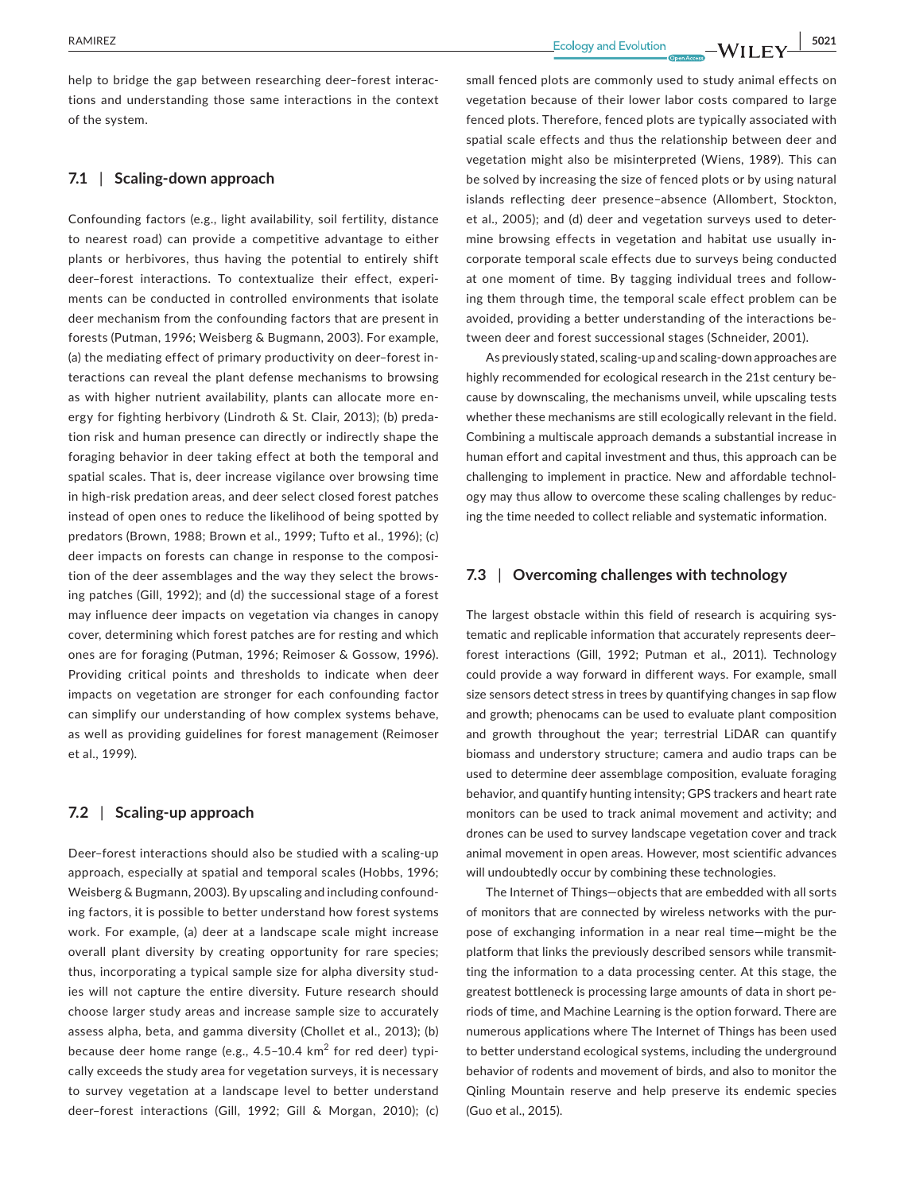help to bridge the gap between researching deer–forest interactions and understanding those same interactions in the context of the system.

## **7.1** | **Scaling-down approach**

Confounding factors (e.g., light availability, soil fertility, distance to nearest road) can provide a competitive advantage to either plants or herbivores, thus having the potential to entirely shift deer–forest interactions. To contextualize their effect, experiments can be conducted in controlled environments that isolate deer mechanism from the confounding factors that are present in forests (Putman, 1996; Weisberg & Bugmann, 2003). For example, (a) the mediating effect of primary productivity on deer–forest interactions can reveal the plant defense mechanisms to browsing as with higher nutrient availability, plants can allocate more energy for fighting herbivory (Lindroth & St. Clair, 2013); (b) predation risk and human presence can directly or indirectly shape the foraging behavior in deer taking effect at both the temporal and spatial scales. That is, deer increase vigilance over browsing time in high-risk predation areas, and deer select closed forest patches instead of open ones to reduce the likelihood of being spotted by predators (Brown, 1988; Brown et al., 1999; Tufto et al., 1996); (c) deer impacts on forests can change in response to the composition of the deer assemblages and the way they select the browsing patches (Gill, 1992); and (d) the successional stage of a forest may influence deer impacts on vegetation via changes in canopy cover, determining which forest patches are for resting and which ones are for foraging (Putman, 1996; Reimoser & Gossow, 1996). Providing critical points and thresholds to indicate when deer impacts on vegetation are stronger for each confounding factor can simplify our understanding of how complex systems behave, as well as providing guidelines for forest management (Reimoser et al., 1999).

# **7.2** | **Scaling-up approach**

Deer–forest interactions should also be studied with a scaling-up approach, especially at spatial and temporal scales (Hobbs, 1996; Weisberg & Bugmann, 2003). By upscaling and including confounding factors, it is possible to better understand how forest systems work. For example, (a) deer at a landscape scale might increase overall plant diversity by creating opportunity for rare species; thus, incorporating a typical sample size for alpha diversity studies will not capture the entire diversity. Future research should choose larger study areas and increase sample size to accurately assess alpha, beta, and gamma diversity (Chollet et al., 2013); (b) because deer home range (e.g., 4.5–10.4 km $^2$  for red deer) typically exceeds the study area for vegetation surveys, it is necessary to survey vegetation at a landscape level to better understand deer–forest interactions (Gill, 1992; Gill & Morgan, 2010); (c) small fenced plots are commonly used to study animal effects on vegetation because of their lower labor costs compared to large fenced plots. Therefore, fenced plots are typically associated with spatial scale effects and thus the relationship between deer and vegetation might also be misinterpreted (Wiens, 1989). This can be solved by increasing the size of fenced plots or by using natural islands reflecting deer presence–absence (Allombert, Stockton, et al., 2005); and (d) deer and vegetation surveys used to determine browsing effects in vegetation and habitat use usually incorporate temporal scale effects due to surveys being conducted at one moment of time. By tagging individual trees and following them through time, the temporal scale effect problem can be avoided, providing a better understanding of the interactions between deer and forest successional stages (Schneider, 2001).

As previously stated, scaling-up and scaling-down approaches are highly recommended for ecological research in the 21st century because by downscaling, the mechanisms unveil, while upscaling tests whether these mechanisms are still ecologically relevant in the field. Combining a multiscale approach demands a substantial increase in human effort and capital investment and thus, this approach can be challenging to implement in practice. New and affordable technology may thus allow to overcome these scaling challenges by reducing the time needed to collect reliable and systematic information.

# **7.3** | **Overcoming challenges with technology**

The largest obstacle within this field of research is acquiring systematic and replicable information that accurately represents deer– forest interactions (Gill, 1992; Putman et al., 2011). Technology could provide a way forward in different ways. For example, small size sensors detect stress in trees by quantifying changes in sap flow and growth; phenocams can be used to evaluate plant composition and growth throughout the year; terrestrial LiDAR can quantify biomass and understory structure; camera and audio traps can be used to determine deer assemblage composition, evaluate foraging behavior, and quantify hunting intensity; GPS trackers and heart rate monitors can be used to track animal movement and activity; and drones can be used to survey landscape vegetation cover and track animal movement in open areas. However, most scientific advances will undoubtedly occur by combining these technologies.

The Internet of Things—objects that are embedded with all sorts of monitors that are connected by wireless networks with the purpose of exchanging information in a near real time—might be the platform that links the previously described sensors while transmitting the information to a data processing center. At this stage, the greatest bottleneck is processing large amounts of data in short periods of time, and Machine Learning is the option forward. There are numerous applications where The Internet of Things has been used to better understand ecological systems, including the underground behavior of rodents and movement of birds, and also to monitor the Qinling Mountain reserve and help preserve its endemic species (Guo et al., 2015).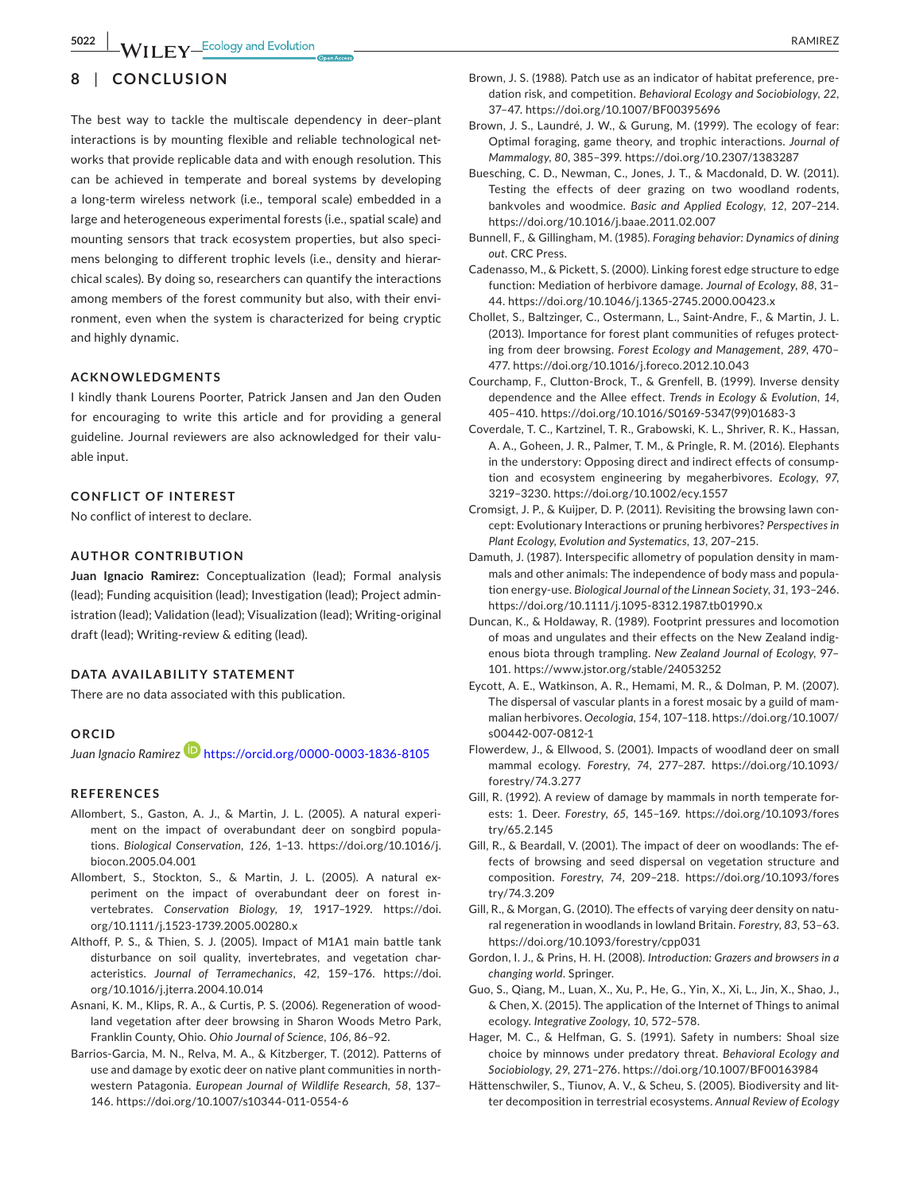# **8** | **CONCLUSION**

The best way to tackle the multiscale dependency in deer–plant interactions is by mounting flexible and reliable technological networks that provide replicable data and with enough resolution. This can be achieved in temperate and boreal systems by developing a long-term wireless network (i.e., temporal scale) embedded in a large and heterogeneous experimental forests (i.e., spatial scale) and mounting sensors that track ecosystem properties, but also specimens belonging to different trophic levels (i.e., density and hierarchical scales). By doing so, researchers can quantify the interactions among members of the forest community but also, with their environment, even when the system is characterized for being cryptic and highly dynamic.

## **ACKNOWLEDGMENTS**

I kindly thank Lourens Poorter, Patrick Jansen and Jan den Ouden for encouraging to write this article and for providing a general guideline. Journal reviewers are also acknowledged for their valuable input.

## **CONFLICT OF INTEREST**

No conflict of interest to declare.

## **AUTHOR CONTRIBUTION**

**Juan Ignacio Ramirez:** Conceptualization (lead); Formal analysis (lead); Funding acquisition (lead); Investigation (lead); Project administration (lead); Validation (lead); Visualization (lead); Writing-original draft (lead); Writing-review & editing (lead).

## **DATA AVAILABILITY STATEMENT**

There are no data associated with this publication.

## **ORCID**

*Juan Ignacio Ramire[z](https://orcid.org/0000-0003-1836-8105)* <https://orcid.org/0000-0003-1836-8105>

## **REFERENCES**

- Allombert, S., Gaston, A. J., & Martin, J. L. (2005). A natural experiment on the impact of overabundant deer on songbird populations. *Biological Conservation*, *126*, 1–13. [https://doi.org/10.1016/j.](https://doi.org/10.1016/j.biocon.2005.04.001) [biocon.2005.04.001](https://doi.org/10.1016/j.biocon.2005.04.001)
- Allombert, S., Stockton, S., & Martin, J. L. (2005). A natural experiment on the impact of overabundant deer on forest invertebrates. *Conservation Biology*, *19*, 1917–1929. [https://doi.](https://doi.org/10.1111/j.1523-1739.2005.00280.x) [org/10.1111/j.1523-1739.2005.00280.x](https://doi.org/10.1111/j.1523-1739.2005.00280.x)
- Althoff, P. S., & Thien, S. J. (2005). Impact of M1A1 main battle tank disturbance on soil quality, invertebrates, and vegetation characteristics. *Journal of Terramechanics*, *42*, 159–176. [https://doi.](https://doi.org/10.1016/j.jterra.2004.10.014) [org/10.1016/j.jterra.2004.10.014](https://doi.org/10.1016/j.jterra.2004.10.014)
- Asnani, K. M., Klips, R. A., & Curtis, P. S. (2006). Regeneration of woodland vegetation after deer browsing in Sharon Woods Metro Park, Franklin County, Ohio. *Ohio Journal of Science*, *106*, 86–92.
- Barrios-Garcia, M. N., Relva, M. A., & Kitzberger, T. (2012). Patterns of use and damage by exotic deer on native plant communities in northwestern Patagonia. *European Journal of Wildlife Research*, *58*, 137– 146.<https://doi.org/10.1007/s10344-011-0554-6>
- Brown, J. S. (1988). Patch use as an indicator of habitat preference, predation risk, and competition. *Behavioral Ecology and Sociobiology*, *22*, 37–47. <https://doi.org/10.1007/BF00395696>
- Brown, J. S., Laundré, J. W., & Gurung, M. (1999). The ecology of fear: Optimal foraging, game theory, and trophic interactions. *Journal of Mammalogy*, *80*, 385–399. <https://doi.org/10.2307/1383287>
- Buesching, C. D., Newman, C., Jones, J. T., & Macdonald, D. W. (2011). Testing the effects of deer grazing on two woodland rodents, bankvoles and woodmice. *Basic and Applied Ecology*, *12*, 207–214. <https://doi.org/10.1016/j.baae.2011.02.007>
- Bunnell, F., & Gillingham, M. (1985). *Foraging behavior: Dynamics of dining out*. CRC Press.
- Cadenasso, M., & Pickett, S. (2000). Linking forest edge structure to edge function: Mediation of herbivore damage. *Journal of Ecology*, *88*, 31– 44.<https://doi.org/10.1046/j.1365-2745.2000.00423.x>
- Chollet, S., Baltzinger, C., Ostermann, L., Saint-Andre, F., & Martin, J. L. (2013). Importance for forest plant communities of refuges protecting from deer browsing. *Forest Ecology and Management*, *289*, 470– 477. <https://doi.org/10.1016/j.foreco.2012.10.043>
- Courchamp, F., Clutton-Brock, T., & Grenfell, B. (1999). Inverse density dependence and the Allee effect. *Trends in Ecology & Evolution*, *14*, 405–410. [https://doi.org/10.1016/S0169-5347\(99\)01683-3](https://doi.org/10.1016/S0169-5347(99)01683-3)
- Coverdale, T. C., Kartzinel, T. R., Grabowski, K. L., Shriver, R. K., Hassan, A. A., Goheen, J. R., Palmer, T. M., & Pringle, R. M. (2016). Elephants in the understory: Opposing direct and indirect effects of consumption and ecosystem engineering by megaherbivores. *Ecology*, *97*, 3219–3230.<https://doi.org/10.1002/ecy.1557>
- Cromsigt, J. P., & Kuijper, D. P. (2011). Revisiting the browsing lawn concept: Evolutionary Interactions or pruning herbivores? *Perspectives in Plant Ecology, Evolution and Systematics*, *13*, 207–215.
- Damuth, J. (1987). Interspecific allometry of population density in mammals and other animals: The independence of body mass and population energy-use. *Biological Journal of the Linnean Society*, *31*, 193–246. <https://doi.org/10.1111/j.1095-8312.1987.tb01990.x>
- Duncan, K., & Holdaway, R. (1989). Footprint pressures and locomotion of moas and ungulates and their effects on the New Zealand indigenous biota through trampling. *New Zealand Journal of Ecology*, 97– 101.<https://www.jstor.org/stable/24053252>
- Eycott, A. E., Watkinson, A. R., Hemami, M. R., & Dolman, P. M. (2007). The dispersal of vascular plants in a forest mosaic by a guild of mammalian herbivores. *Oecologia*, *154*, 107–118. [https://doi.org/10.1007/](https://doi.org/10.1007/s00442-007-0812-1) [s00442-007-0812-1](https://doi.org/10.1007/s00442-007-0812-1)
- Flowerdew, J., & Ellwood, S. (2001). Impacts of woodland deer on small mammal ecology. *Forestry*, *74*, 277–287. [https://doi.org/10.1093/](https://doi.org/10.1093/forestry/74.3.277) [forestry/74.3.277](https://doi.org/10.1093/forestry/74.3.277)
- Gill, R. (1992). A review of damage by mammals in north temperate forests: 1. Deer. *Forestry*, *65*, 145–169. [https://doi.org/10.1093/fores](https://doi.org/10.1093/forestry/65.2.145) [try/65.2.145](https://doi.org/10.1093/forestry/65.2.145)
- Gill, R., & Beardall, V. (2001). The impact of deer on woodlands: The effects of browsing and seed dispersal on vegetation structure and composition. *Forestry*, *74*, 209–218. [https://doi.org/10.1093/fores](https://doi.org/10.1093/forestry/74.3.209) [try/74.3.209](https://doi.org/10.1093/forestry/74.3.209)
- Gill, R., & Morgan, G. (2010). The effects of varying deer density on natural regeneration in woodlands in lowland Britain. *Forestry*, *83*, 53–63. <https://doi.org/10.1093/forestry/cpp031>
- Gordon, I. J., & Prins, H. H. (2008). *Introduction: Grazers and browsers in a changing world*. Springer.
- Guo, S., Qiang, M., Luan, X., Xu, P., He, G., Yin, X., Xi, L., Jin, X., Shao, J., & Chen, X. (2015). The application of the Internet of Things to animal ecology. *Integrative Zoology*, *10*, 572–578.
- Hager, M. C., & Helfman, G. S. (1991). Safety in numbers: Shoal size choice by minnows under predatory threat. *Behavioral Ecology and Sociobiology*, *29*, 271–276. <https://doi.org/10.1007/BF00163984>
- Hättenschwiler, S., Tiunov, A. V., & Scheu, S. (2005). Biodiversity and litter decomposition in terrestrial ecosystems. *Annual Review of Ecology*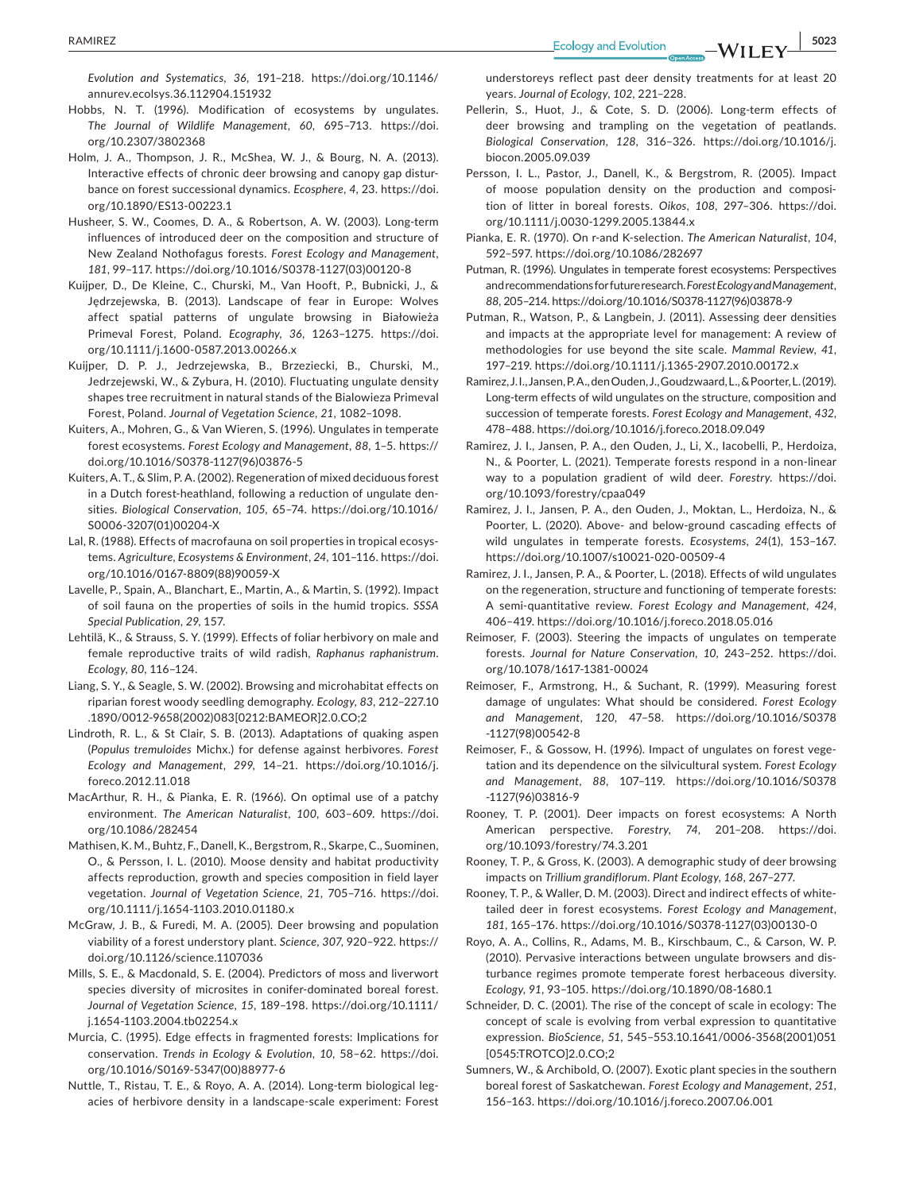*Evolution and Systematics*, *36*, 191–218. [https://doi.org/10.1146/](https://doi.org/10.1146/annurev.ecolsys.36.112904.151932) [annurev.ecolsys.36.112904.151932](https://doi.org/10.1146/annurev.ecolsys.36.112904.151932)

- Hobbs, N. T. (1996). Modification of ecosystems by ungulates. *The Journal of Wildlife Management*, *60*, 695–713. [https://doi.](https://doi.org/10.2307/3802368) [org/10.2307/3802368](https://doi.org/10.2307/3802368)
- Holm, J. A., Thompson, J. R., McShea, W. J., & Bourg, N. A. (2013). Interactive effects of chronic deer browsing and canopy gap disturbance on forest successional dynamics. *Ecosphere*, *4*, 23. [https://doi.](https://doi.org/10.1890/ES13-00223.1) [org/10.1890/ES13-00223.1](https://doi.org/10.1890/ES13-00223.1)
- Husheer, S. W., Coomes, D. A., & Robertson, A. W. (2003). Long-term influences of introduced deer on the composition and structure of New Zealand Nothofagus forests. *Forest Ecology and Management*, *181*, 99–117. [https://doi.org/10.1016/S0378-1127\(03\)00120-8](https://doi.org/10.1016/S0378-1127(03)00120-8)
- Kuijper, D., De Kleine, C., Churski, M., Van Hooft, P., Bubnicki, J., & Jędrzejewska, B. (2013). Landscape of fear in Europe: Wolves affect spatial patterns of ungulate browsing in Białowieża Primeval Forest, Poland. *Ecography*, *36*, 1263–1275. [https://doi.](https://doi.org/10.1111/j.1600-0587.2013.00266.x) [org/10.1111/j.1600-0587.2013.00266.x](https://doi.org/10.1111/j.1600-0587.2013.00266.x)
- Kuijper, D. P. J., Jedrzejewska, B., Brzeziecki, B., Churski, M., Jedrzejewski, W., & Zybura, H. (2010). Fluctuating ungulate density shapes tree recruitment in natural stands of the Bialowieza Primeval Forest, Poland. *Journal of Vegetation Science*, *21*, 1082–1098.
- Kuiters, A., Mohren, G., & Van Wieren, S. (1996). Ungulates in temperate forest ecosystems. *Forest Ecology and Management*, *88*, 1–5. [https://](https://doi.org/10.1016/S0378-1127(96)03876-5) [doi.org/10.1016/S0378-1127\(96\)03876-5](https://doi.org/10.1016/S0378-1127(96)03876-5)
- Kuiters, A. T., & Slim, P. A. (2002). Regeneration of mixed deciduous forest in a Dutch forest-heathland, following a reduction of ungulate densities. *Biological Conservation*, *105*, 65–74. [https://doi.org/10.1016/](https://doi.org/10.1016/S0006-3207(01)00204-X) [S0006-3207\(01\)00204-X](https://doi.org/10.1016/S0006-3207(01)00204-X)
- Lal, R. (1988). Effects of macrofauna on soil properties in tropical ecosystems. *Agriculture, Ecosystems & Environment*, *24*, 101–116. [https://doi.](https://doi.org/10.1016/0167-8809(88)90059-X) [org/10.1016/0167-8809\(88\)90059-X](https://doi.org/10.1016/0167-8809(88)90059-X)
- Lavelle, P., Spain, A., Blanchart, E., Martin, A., & Martin, S. (1992). Impact of soil fauna on the properties of soils in the humid tropics. *SSSA Special Publication*, *29*, 157.
- Lehtilä, K., & Strauss, S. Y. (1999). Effects of foliar herbivory on male and female reproductive traits of wild radish, *Raphanus raphanistrum*. *Ecology*, *80*, 116–124.
- Liang, S. Y., & Seagle, S. W. (2002). Browsing and microhabitat effects on riparian forest woody seedling demography. *Ecology*, *83*, 212–227.10 .1890/0012-9658(2002)083[0212:BAMEOR]2.0.CO;2
- Lindroth, R. L., & St Clair, S. B. (2013). Adaptations of quaking aspen (*Populus tremuloides* Michx.) for defense against herbivores. *Forest Ecology and Management*, *299*, 14–21. [https://doi.org/10.1016/j.](https://doi.org/10.1016/j.foreco.2012.11.018) [foreco.2012.11.018](https://doi.org/10.1016/j.foreco.2012.11.018)
- MacArthur, R. H., & Pianka, E. R. (1966). On optimal use of a patchy environment. *The American Naturalist*, *100*, 603–609. [https://doi.](https://doi.org/10.1086/282454) [org/10.1086/282454](https://doi.org/10.1086/282454)
- Mathisen, K. M., Buhtz, F., Danell, K., Bergstrom, R., Skarpe, C., Suominen, O., & Persson, I. L. (2010). Moose density and habitat productivity affects reproduction, growth and species composition in field layer vegetation. *Journal of Vegetation Science*, *21*, 705–716. [https://doi.](https://doi.org/10.1111/j.1654-1103.2010.01180.x) [org/10.1111/j.1654-1103.2010.01180.x](https://doi.org/10.1111/j.1654-1103.2010.01180.x)
- McGraw, J. B., & Furedi, M. A. (2005). Deer browsing and population viability of a forest understory plant. *Science*, *307*, 920–922. [https://](https://doi.org/10.1126/science.1107036) [doi.org/10.1126/science.1107036](https://doi.org/10.1126/science.1107036)
- Mills, S. E., & Macdonald, S. E. (2004). Predictors of moss and liverwort species diversity of microsites in conifer-dominated boreal forest. *Journal of Vegetation Science*, *15*, 189–198. [https://doi.org/10.1111/](https://doi.org/10.1111/j.1654-1103.2004.tb02254.x) [j.1654-1103.2004.tb02254.x](https://doi.org/10.1111/j.1654-1103.2004.tb02254.x)
- Murcia, C. (1995). Edge effects in fragmented forests: Implications for conservation. *Trends in Ecology & Evolution*, *10*, 58–62. [https://doi.](https://doi.org/10.1016/S0169-5347(00)88977-6) [org/10.1016/S0169-5347\(00\)88977-6](https://doi.org/10.1016/S0169-5347(00)88977-6)
- Nuttle, T., Ristau, T. E., & Royo, A. A. (2014). Long-term biological legacies of herbivore density in a landscape-scale experiment: Forest

understoreys reflect past deer density treatments for at least 20 years. *Journal of Ecology*, *102*, 221–228.

- Pellerin, S., Huot, J., & Cote, S. D. (2006). Long-term effects of deer browsing and trampling on the vegetation of peatlands. *Biological Conservation*, *128*, 316–326. [https://doi.org/10.1016/j.](https://doi.org/10.1016/j.biocon.2005.09.039) [biocon.2005.09.039](https://doi.org/10.1016/j.biocon.2005.09.039)
- Persson, I. L., Pastor, J., Danell, K., & Bergstrom, R. (2005). Impact of moose population density on the production and composition of litter in boreal forests. *Oikos*, *108*, 297–306. [https://doi.](https://doi.org/10.1111/j.0030-1299.2005.13844.x) [org/10.1111/j.0030-1299.2005.13844.x](https://doi.org/10.1111/j.0030-1299.2005.13844.x)
- Pianka, E. R. (1970). On r-and K-selection. *The American Naturalist*, *104*, 592–597.<https://doi.org/10.1086/282697>
- Putman, R. (1996). Ungulates in temperate forest ecosystems: Perspectives and recommendations for future research. *Forest Ecology and Management*, *88*, 205–214. [https://doi.org/10.1016/S0378-1127\(96\)03878-9](https://doi.org/10.1016/S0378-1127(96)03878-9)
- Putman, R., Watson, P., & Langbein, J. (2011). Assessing deer densities and impacts at the appropriate level for management: A review of methodologies for use beyond the site scale. *Mammal Review*, *41*, 197–219. <https://doi.org/10.1111/j.1365-2907.2010.00172.x>
- Ramirez, J. I., Jansen, P. A., den Ouden, J., Goudzwaard, L., & Poorter, L. (2019). Long-term effects of wild ungulates on the structure, composition and succession of temperate forests. *Forest Ecology and Management*, *432*, 478–488.<https://doi.org/10.1016/j.foreco.2018.09.049>
- Ramirez, J. I., Jansen, P. A., den Ouden, J., Li, X., Iacobelli, P., Herdoiza, N., & Poorter, L. (2021). Temperate forests respond in a non-linear way to a population gradient of wild deer. *Forestry*. [https://doi.](https://doi.org/10.1093/forestry/cpaa049) [org/10.1093/forestry/cpaa049](https://doi.org/10.1093/forestry/cpaa049)
- Ramirez, J. I., Jansen, P. A., den Ouden, J., Moktan, L., Herdoiza, N., & Poorter, L. (2020). Above- and below-ground cascading effects of wild ungulates in temperate forests. *Ecosystems*, *24*(1), 153–167. <https://doi.org/10.1007/s10021-020-00509-4>
- Ramirez, J. I., Jansen, P. A., & Poorter, L. (2018). Effects of wild ungulates on the regeneration, structure and functioning of temperate forests: A semi-quantitative review. *Forest Ecology and Management*, *424*, 406–419. <https://doi.org/10.1016/j.foreco.2018.05.016>
- Reimoser, F. (2003). Steering the impacts of ungulates on temperate forests. *Journal for Nature Conservation*, *10*, 243–252. [https://doi.](https://doi.org/10.1078/1617-1381-00024) [org/10.1078/1617-1381-00024](https://doi.org/10.1078/1617-1381-00024)
- Reimoser, F., Armstrong, H., & Suchant, R. (1999). Measuring forest damage of ungulates: What should be considered. *Forest Ecology and Management*, *120*, 47–58. [https://doi.org/10.1016/S0378](https://doi.org/10.1016/S0378-1127(98)00542-8) [-1127\(98\)00542-8](https://doi.org/10.1016/S0378-1127(98)00542-8)
- Reimoser, F., & Gossow, H. (1996). Impact of ungulates on forest vegetation and its dependence on the silvicultural system. *Forest Ecology and Management*, *88*, 107–119. [https://doi.org/10.1016/S0378](https://doi.org/10.1016/S0378-1127(96)03816-9) [-1127\(96\)03816-9](https://doi.org/10.1016/S0378-1127(96)03816-9)
- Rooney, T. P. (2001). Deer impacts on forest ecosystems: A North American perspective. *Forestry*, *74*, 201–208. [https://doi.](https://doi.org/10.1093/forestry/74.3.201) [org/10.1093/forestry/74.3.201](https://doi.org/10.1093/forestry/74.3.201)
- Rooney, T. P., & Gross, K. (2003). A demographic study of deer browsing impacts on *Trillium grandiflorum*. *Plant Ecology*, *168*, 267–277.
- Rooney, T. P., & Waller, D. M. (2003). Direct and indirect effects of whitetailed deer in forest ecosystems. *Forest Ecology and Management*, *181*, 165–176. [https://doi.org/10.1016/S0378-1127\(03\)00130-0](https://doi.org/10.1016/S0378-1127(03)00130-0)
- Royo, A. A., Collins, R., Adams, M. B., Kirschbaum, C., & Carson, W. P. (2010). Pervasive interactions between ungulate browsers and disturbance regimes promote temperate forest herbaceous diversity. *Ecology*, *91*, 93–105.<https://doi.org/10.1890/08-1680.1>
- Schneider, D. C. (2001). The rise of the concept of scale in ecology: The concept of scale is evolving from verbal expression to quantitative expression. *BioScience*, *51*, 545–553.10.1641/0006-3568(2001)051 [0545:TROTCO]2.0.CO;2
- Sumners, W., & Archibold, O. (2007). Exotic plant species in the southern boreal forest of Saskatchewan. *Forest Ecology and Management*, *251*, 156–163. <https://doi.org/10.1016/j.foreco.2007.06.001>